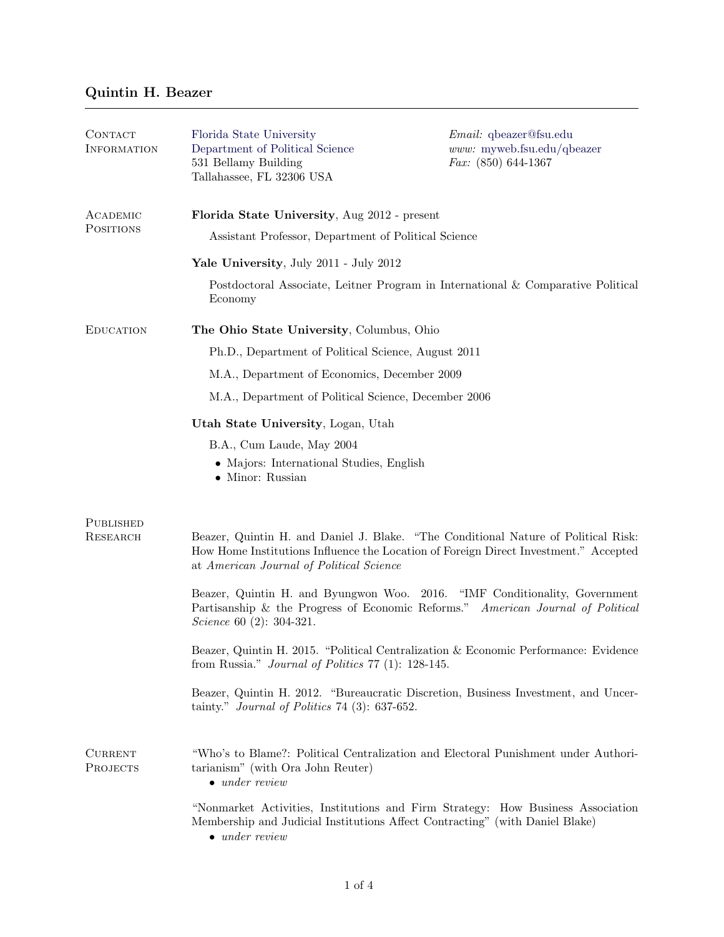## Quintin H. Beazer

| CONTACT<br><b>INFORMATION</b>                                                             | Florida State University<br>Department of Political Science<br>531 Bellamy Building<br>Tallahassee, FL 32306 USA                                                                                 | $Email:$ qbeazer@fsu.edu<br>www: myweb.fsu.edu/qbeazer<br>Fax: $(850)$ 644-1367                                                                                            |  |
|-------------------------------------------------------------------------------------------|--------------------------------------------------------------------------------------------------------------------------------------------------------------------------------------------------|----------------------------------------------------------------------------------------------------------------------------------------------------------------------------|--|
| ACADEMIC<br><b>POSITIONS</b>                                                              | Florida State University, Aug 2012 - present                                                                                                                                                     |                                                                                                                                                                            |  |
|                                                                                           | Assistant Professor, Department of Political Science<br>Yale University, July 2011 - July 2012                                                                                                   |                                                                                                                                                                            |  |
|                                                                                           |                                                                                                                                                                                                  |                                                                                                                                                                            |  |
|                                                                                           | <b>EDUCATION</b>                                                                                                                                                                                 | The Ohio State University, Columbus, Ohio                                                                                                                                  |  |
| Ph.D., Department of Political Science, August 2011                                       |                                                                                                                                                                                                  |                                                                                                                                                                            |  |
| M.A., Department of Economics, December 2009                                              |                                                                                                                                                                                                  |                                                                                                                                                                            |  |
| M.A., Department of Political Science, December 2006                                      |                                                                                                                                                                                                  |                                                                                                                                                                            |  |
| Utah State University, Logan, Utah                                                        |                                                                                                                                                                                                  |                                                                                                                                                                            |  |
| B.A., Cum Laude, May 2004<br>• Majors: International Studies, English<br>• Minor: Russian |                                                                                                                                                                                                  |                                                                                                                                                                            |  |
| PUBLISHED                                                                                 |                                                                                                                                                                                                  |                                                                                                                                                                            |  |
| RESEARCH                                                                                  | at American Journal of Political Science                                                                                                                                                         | Beazer, Quintin H. and Daniel J. Blake. "The Conditional Nature of Political Risk:<br>How Home Institutions Influence the Location of Foreign Direct Investment." Accepted |  |
|                                                                                           | Beazer, Quintin H. and Byungwon Woo. 2016. "IMF Conditionality, Government<br>Partisanship & the Progress of Economic Reforms." American Journal of Political<br><i>Science</i> 60 (2): 304-321. |                                                                                                                                                                            |  |
|                                                                                           | Beazer, Quintin H. 2015. "Political Centralization & Economic Performance: Evidence<br>from Russia." <i>Journal of Politics</i> $77$ (1): 128-145.                                               |                                                                                                                                                                            |  |
|                                                                                           | tainty." Journal of Politics 74 (3): $637-652$ .                                                                                                                                                 | Beazer, Quintin H. 2012. "Bureaucratic Discretion, Business Investment, and Uncer-                                                                                         |  |
| <b>CURRENT</b><br><b>PROJECTS</b>                                                         | tarianism" (with Ora John Reuter)<br>$\bullet$ under review                                                                                                                                      | "Who's to Blame?: Political Centralization and Electoral Punishment under Authori-                                                                                         |  |
|                                                                                           | Membership and Judicial Institutions Affect Contracting" (with Daniel Blake)<br>$\bullet$ under review                                                                                           | "Nonmarket Activities, Institutions and Firm Strategy: How Business Association                                                                                            |  |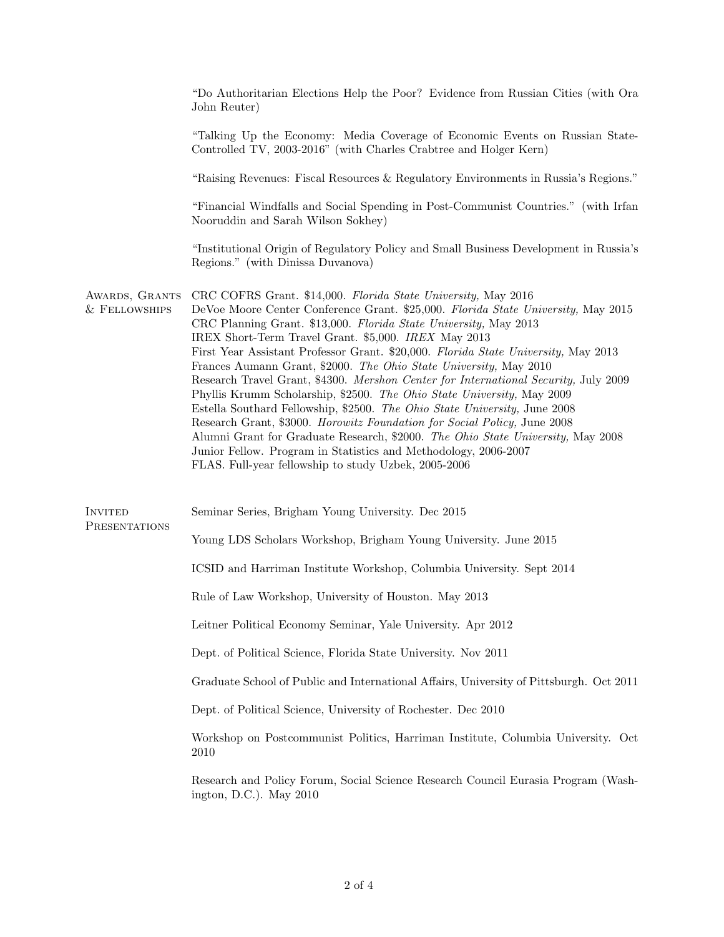|                                 | "Do Authoritarian Elections Help the Poor? Evidence from Russian Cities (with Ora<br>John Reuter)                                                                                                                                                                                                                                                                                                                                                                                                                                                                                                                                                                                                                                                                                                                                                                                                                                                                                 |  |
|---------------------------------|-----------------------------------------------------------------------------------------------------------------------------------------------------------------------------------------------------------------------------------------------------------------------------------------------------------------------------------------------------------------------------------------------------------------------------------------------------------------------------------------------------------------------------------------------------------------------------------------------------------------------------------------------------------------------------------------------------------------------------------------------------------------------------------------------------------------------------------------------------------------------------------------------------------------------------------------------------------------------------------|--|
|                                 | "Talking Up the Economy: Media Coverage of Economic Events on Russian State-<br>Controlled TV, 2003-2016" (with Charles Crabtree and Holger Kern)                                                                                                                                                                                                                                                                                                                                                                                                                                                                                                                                                                                                                                                                                                                                                                                                                                 |  |
|                                 | "Raising Revenues: Fiscal Resources & Regulatory Environments in Russia's Regions."                                                                                                                                                                                                                                                                                                                                                                                                                                                                                                                                                                                                                                                                                                                                                                                                                                                                                               |  |
|                                 | "Financial Windfalls and Social Spending in Post-Communist Countries." (with Irfan<br>Nooruddin and Sarah Wilson Sokhey)                                                                                                                                                                                                                                                                                                                                                                                                                                                                                                                                                                                                                                                                                                                                                                                                                                                          |  |
|                                 | "Institutional Origin of Regulatory Policy and Small Business Development in Russia's<br>Regions." (with Dinissa Duvanova)                                                                                                                                                                                                                                                                                                                                                                                                                                                                                                                                                                                                                                                                                                                                                                                                                                                        |  |
| AWARDS, GRANTS<br>& FELLOWSHIPS | CRC COFRS Grant. \$14,000. Florida State University, May 2016<br>DeVoe Moore Center Conference Grant. \$25,000. Florida State University, May 2015<br>CRC Planning Grant. \$13,000. Florida State University, May 2013<br>IREX Short-Term Travel Grant. \$5,000. IREX May 2013<br>First Year Assistant Professor Grant. \$20,000. Florida State University, May 2013<br>Frances Aumann Grant, \$2000. The Ohio State University, May 2010<br>Research Travel Grant, \$4300. Mershon Center for International Security, July 2009<br>Phyllis Krumm Scholarship, \$2500. The Ohio State University, May 2009<br>Estella Southard Fellowship, \$2500. The Ohio State University, June 2008<br>Research Grant, \$3000. Horowitz Foundation for Social Policy, June 2008<br>Alumni Grant for Graduate Research, \$2000. The Ohio State University, May 2008<br>Junior Fellow. Program in Statistics and Methodology, 2006-2007<br>FLAS. Full-year fellowship to study Uzbek, 2005-2006 |  |
| <b>INVITED</b><br>PRESENTATIONS | Seminar Series, Brigham Young University. Dec 2015                                                                                                                                                                                                                                                                                                                                                                                                                                                                                                                                                                                                                                                                                                                                                                                                                                                                                                                                |  |
|                                 | Young LDS Scholars Workshop, Brigham Young University. June 2015                                                                                                                                                                                                                                                                                                                                                                                                                                                                                                                                                                                                                                                                                                                                                                                                                                                                                                                  |  |
|                                 | ICSID and Harriman Institute Workshop, Columbia University. Sept 2014                                                                                                                                                                                                                                                                                                                                                                                                                                                                                                                                                                                                                                                                                                                                                                                                                                                                                                             |  |
|                                 | Rule of Law Workshop, University of Houston. May 2013                                                                                                                                                                                                                                                                                                                                                                                                                                                                                                                                                                                                                                                                                                                                                                                                                                                                                                                             |  |
|                                 | Leitner Political Economy Seminar, Yale University. Apr 2012                                                                                                                                                                                                                                                                                                                                                                                                                                                                                                                                                                                                                                                                                                                                                                                                                                                                                                                      |  |
|                                 | Dept. of Political Science, Florida State University. Nov 2011                                                                                                                                                                                                                                                                                                                                                                                                                                                                                                                                                                                                                                                                                                                                                                                                                                                                                                                    |  |
|                                 | Graduate School of Public and International Affairs, University of Pittsburgh. Oct 2011                                                                                                                                                                                                                                                                                                                                                                                                                                                                                                                                                                                                                                                                                                                                                                                                                                                                                           |  |
|                                 | Dept. of Political Science, University of Rochester. Dec 2010                                                                                                                                                                                                                                                                                                                                                                                                                                                                                                                                                                                                                                                                                                                                                                                                                                                                                                                     |  |
|                                 | Workshop on Postcommunist Politics, Harriman Institute, Columbia University. Oct<br>2010                                                                                                                                                                                                                                                                                                                                                                                                                                                                                                                                                                                                                                                                                                                                                                                                                                                                                          |  |
|                                 | Research and Policy Forum, Social Science Research Council Eurasia Program (Wash-<br>ington, D.C.). May $2010$                                                                                                                                                                                                                                                                                                                                                                                                                                                                                                                                                                                                                                                                                                                                                                                                                                                                    |  |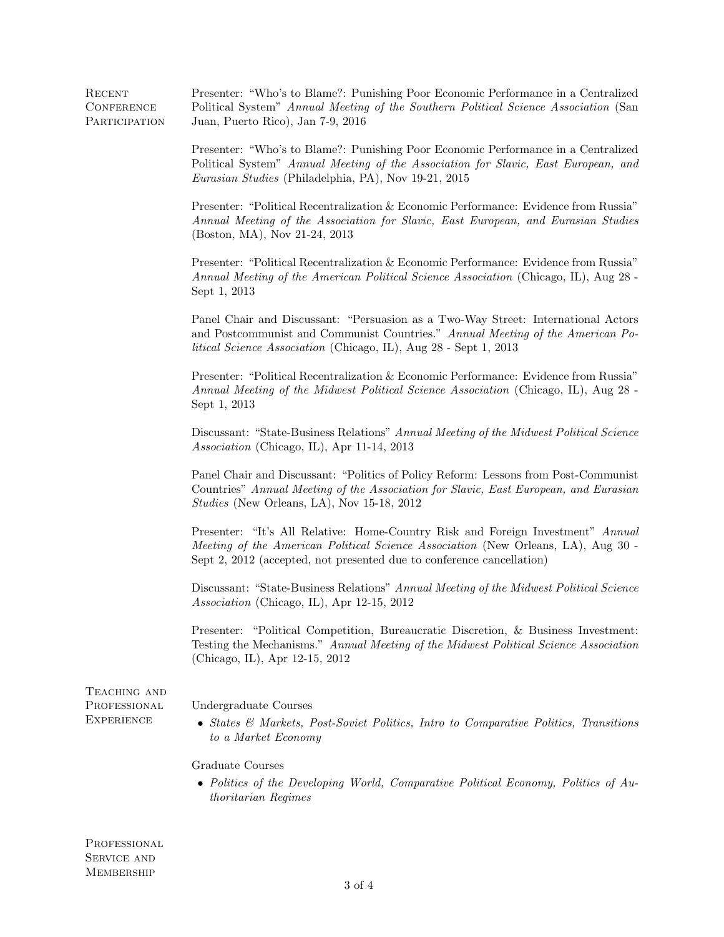| RECENT        | Presenter: "Who's to Blame?: Punishing Poor Economic Performance in a Centralized   |
|---------------|-------------------------------------------------------------------------------------|
| CONFERENCE    | Political System" Annual Meeting of the Southern Political Science Association (San |
| PARTICIPATION | Juan, Puerto Rico), Jan 7-9, 2016                                                   |

Presenter: "Who's to Blame?: Punishing Poor Economic Performance in a Centralized Political System" Annual Meeting of the Association for Slavic, East European, and Eurasian Studies (Philadelphia, PA), Nov 19-21, 2015

Presenter: "Political Recentralization & Economic Performance: Evidence from Russia" Annual Meeting of the Association for Slavic, East European, and Eurasian Studies (Boston, MA), Nov 21-24, 2013

Presenter: "Political Recentralization & Economic Performance: Evidence from Russia" Annual Meeting of the American Political Science Association (Chicago, IL), Aug 28 - Sept 1, 2013

Panel Chair and Discussant: "Persuasion as a Two-Way Street: International Actors and Postcommunist and Communist Countries." Annual Meeting of the American Political Science Association (Chicago, IL), Aug 28 - Sept 1, 2013

Presenter: "Political Recentralization & Economic Performance: Evidence from Russia" Annual Meeting of the Midwest Political Science Association (Chicago, IL), Aug 28 - Sept 1, 2013

Discussant: "State-Business Relations" Annual Meeting of the Midwest Political Science Association (Chicago, IL), Apr 11-14, 2013

Panel Chair and Discussant: "Politics of Policy Reform: Lessons from Post-Communist Countries" Annual Meeting of the Association for Slavic, East European, and Eurasian Studies (New Orleans, LA), Nov 15-18, 2012

Presenter: "It's All Relative: Home-Country Risk and Foreign Investment" Annual Meeting of the American Political Science Association (New Orleans, LA), Aug 30 - Sept 2, 2012 (accepted, not presented due to conference cancellation)

Discussant: "State-Business Relations" Annual Meeting of the Midwest Political Science Association (Chicago, IL), Apr 12-15, 2012

Presenter: "Political Competition, Bureaucratic Discretion, & Business Investment: Testing the Mechanisms." Annual Meeting of the Midwest Political Science Association (Chicago, IL), Apr 12-15, 2012

TEACHING AND **PROFESSIONAL EXPERIENCE** 

Undergraduate Courses

• States & Markets, Post-Soviet Politics, Intro to Comparative Politics, Transitions to a Market Economy

Graduate Courses

• Politics of the Developing World, Comparative Political Economy, Politics of Authoritarian Regimes

**PROFESSIONAL** SERVICE AND **MEMBERSHIP**